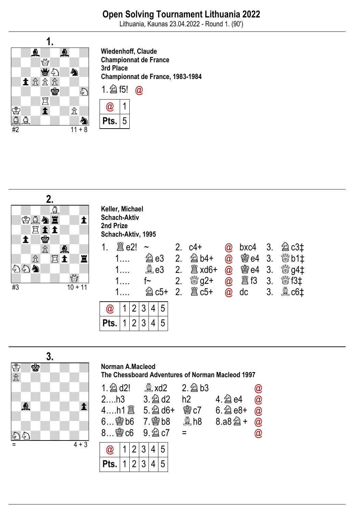Lithuania, Kaunas 23.04.2022 - Round 1. (90')



Wiedenhoff, Claude Championnat de France 3rd Place Championnat de France, 1983-1984







#### Norman A.Macleod

Pts.

1

2

3

4

5

The Chessboard Adventures of Norman Macleod 1997

| $1 \ntriangle$ d2!           |  |  |                  |  |  |  | $\overset{\circledR}{\sim}$ xd2 2. $\overset{\circ2}{\approx}$ b3 |                     | $\bm{\varpi}$ |
|------------------------------|--|--|------------------|--|--|--|-------------------------------------------------------------------|---------------------|---------------|
| 2h3                          |  |  |                  |  |  |  | $3.\n  2$ d2 h2                                                   |                     | $\omega$      |
|                              |  |  |                  |  |  |  |                                                                   | <b>鬱c7</b> 6. 鱼 e8+ | $\omega$      |
|                              |  |  | 6 曾b6 7. 曾b8 奠h8 |  |  |  |                                                                   | 8.a8 $\hat{2}$ +    | $\omega$      |
| $8$ 会 c6 9. $2$ c7           |  |  |                  |  |  |  | $=$                                                               |                     | $\bm{\varpi}$ |
| $\omega$   1   2   3   4   5 |  |  |                  |  |  |  |                                                                   |                     |               |
|                              |  |  |                  |  |  |  |                                                                   |                     |               |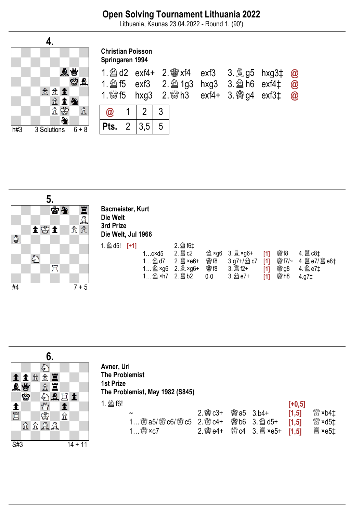Lithuania, Kaunas 23.04.2022 - Round 1. (90')





### Bacmeister, Kurt Die Welt 3rd Prize Die Welt, Jul 1966

|                       | 2. 2 f6‡ |                                   |          |            |            |                     |
|-----------------------|----------|-----------------------------------|----------|------------|------------|---------------------|
| $1$ c $\times$ d $5$  |          |                                   |          |            |            |                     |
| $1$ $2d$ d7           |          | <b>魯f8</b>                        |          |            |            |                     |
|                       |          | <b>魯f8</b>                        |          | [1]        |            | <b>曾g8 4. @ e7‡</b> |
|                       |          | $0 - 0$                           | 3. 2 e7+ | [1]        | 曾h8        | $4.97+$             |
| 1. $\hat{2}$ d5! [+1] |          | 1 $\hat{2}$ ×g6 2. $\hat{2}$ ×g6+ |          | 3.g7+/酋 c7 | [1]<br>[1] | 81                  |

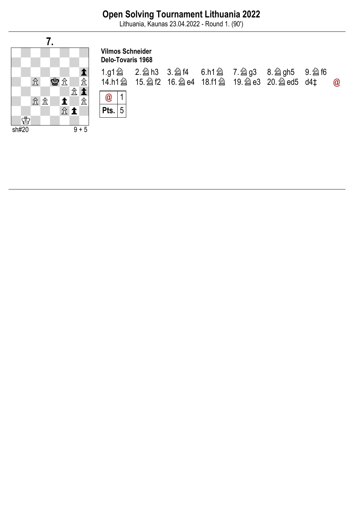Lithuania, Kaunas 23.04.2022 - Round 1. (90')

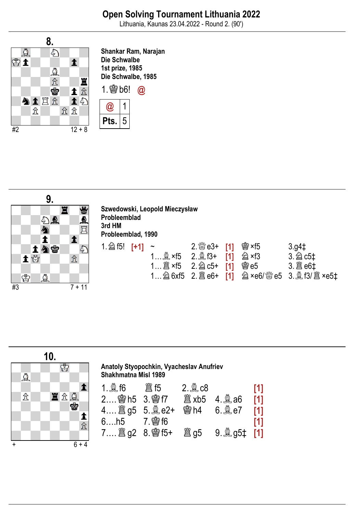Lithuania, Kaunas 23.04.2022 - Round 2. (90')



Shankar Ram, Narajan Die Schwalbe 1st prize, 1985 Die Schwalbe, 1985





| Szwedowski, Leopold Mieczysław<br>Probleemblad<br>3rd HM<br>Probleemblad, 1990 |  |                                                                             |               |     |                         |                     |  |  |  |
|--------------------------------------------------------------------------------|--|-----------------------------------------------------------------------------|---------------|-----|-------------------------|---------------------|--|--|--|
| 1. $\hat{2}$ f5! [+1]                                                          |  | 1 $\stackrel{a}{\leq}$ ×f5 2. $\stackrel{a}{\leq}$ f3+<br>1 2 × f5 2. 2 c5+ | $2.$ $\%$ e3+ | [1] | 曾×f5<br>h ×f3<br>会 $-5$ | $3.94+$<br>3. 2 c5‡ |  |  |  |

| $\cdots$ $\cdots$ $\cdots$ $\cdots$ |  |  |
|-------------------------------------|--|--|
|                                     |  |  |



| Anatoly Styopochkin, Vyacheslav Anufriev<br><b>Shakhmatna Misl 1989</b> |  |            |                  |     |  |  |  |  |  |  |
|-------------------------------------------------------------------------|--|------------|------------------|-----|--|--|--|--|--|--|
| 1. $\triangleq$ f6    簄 f5                                              |  | $2.2$ $c8$ |                  | [1] |  |  |  |  |  |  |
| 2 窗h5 3. 窗f7                                                            |  |            |                  | [1] |  |  |  |  |  |  |
|                                                                         |  |            | <b>幽h4</b> 6.鼻e7 | [1] |  |  |  |  |  |  |
| 6h5 7. \$16                                                             |  |            |                  | [1] |  |  |  |  |  |  |
|                                                                         |  |            |                  |     |  |  |  |  |  |  |
|                                                                         |  |            |                  |     |  |  |  |  |  |  |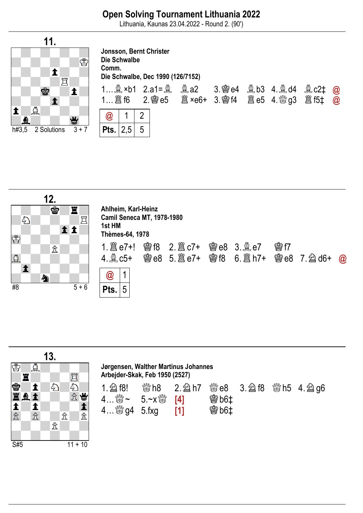Lithuania, Kaunas 23.04.2022 - Round 2. (90')